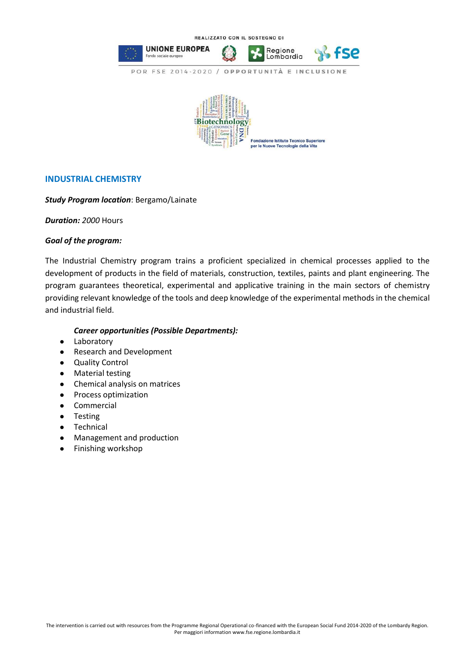

## **INDUSTRIAL CHEMISTRY**

## *Study Program location*: Bergamo/Lainate

*Duration: 2000* Hours

## *Goal of the program:*

The Industrial Chemistry program trains a proficient specialized in chemical processes applied to the development of products in the field of materials, construction, textiles, paints and plant engineering. The program guarantees theoretical, experimental and applicative training in the main sectors of chemistry providing relevant knowledge of the tools and deep knowledge of the experimental methods in the chemical and industrial field.

## *Career opportunities (Possible Departments):*

- Laboratory
- Research and Development
- Quality Control
- Material testing
- Chemical analysis on matrices
- Process optimization
- Commercial
- Testing
- Technical
- Management and production
- Finishing workshop